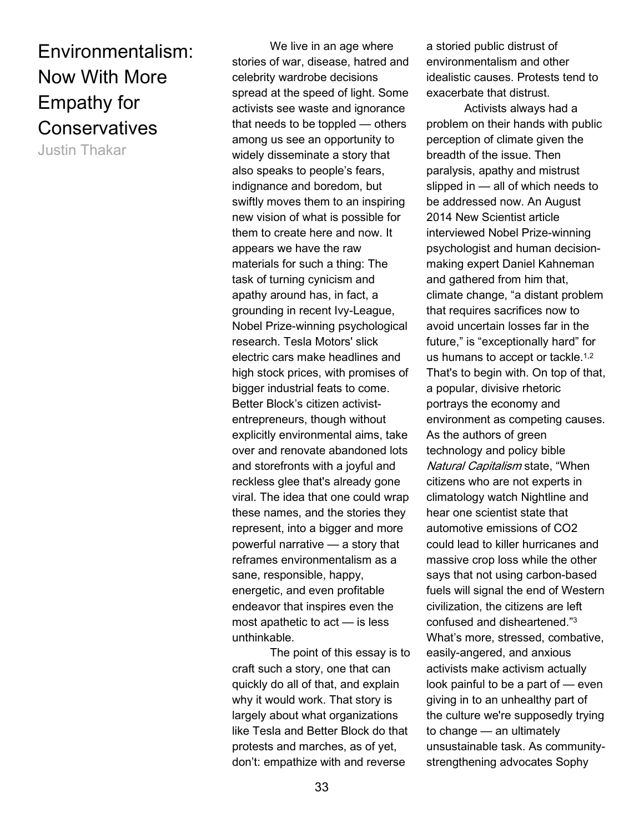# Environmentalism: Now With More Empathy for **Conservatives**

Justin Thakar

We live in an age where stories of war, disease, hatred and celebrity wardrobe decisions spread at the speed of light. Some activists see waste and ignorance that needs to be toppled — others among us see an opportunity to widely disseminate a story that also speaks to people's fears, indignance and boredom, but swiftly moves them to an inspiring new vision of what is possible for them to create here and now. It appears we have the raw materials for such a thing: The task of turning cynicism and apathy around has, in fact, a grounding in recent Ivy-League, Nobel Prize-winning psychological research. Tesla Motors' slick electric cars make headlines and high stock prices, with promises of bigger industrial feats to come. Better Block's citizen activistentrepreneurs, though without explicitly environmental aims, take over and renovate abandoned lots and storefronts with a joyful and reckless glee that's already gone viral. The idea that one could wrap these names, and the stories they represent, into a bigger and more powerful narrative — a story that reframes environmentalism as a sane, responsible, happy, energetic, and even profitable endeavor that inspires even the most apathetic to act — is less unthinkable.

The point of this essay is to craft such a story, one that can quickly do all of that, and explain why it would work. That story is largely about what organizations like Tesla and Better Block do that protests and marches, as of yet, don't: empathize with and reverse

a storied public distrust of environmentalism and other idealistic causes. Protests tend to exacerbate that distrust.

Activists always had a problem on their hands with public perception of climate given the breadth of the issue. Then paralysis, apathy and mistrust slipped in — all of which needs to be addressed now. An August 2014 New Scientist article interviewed Nobel Prize-winning psychologist and human decisionmaking expert Daniel Kahneman and gathered from him that, climate change, "a distant problem that requires sacrifices now to avoid uncertain losses far in the future," is "exceptionally hard" for us humans to accept or tackle.<sup>1,2</sup> That's to begin with. On top of that, a popular, divisive rhetoric portrays the economy and environment as competing causes. As the authors of green technology and policy bible Natural Capitalism state, "When citizens who are not experts in climatology watch Nightline and hear one scientist state that automotive emissions of CO2 could lead to killer hurricanes and massive crop loss while the other says that not using carbon-based fuels will signal the end of Western civilization, the citizens are left confused and disheartened."<sup>3</sup> What's more, stressed, combative, easily-angered, and anxious activists make activism actually look painful to be a part of — even giving in to an unhealthy part of the culture we're supposedly trying to change — an ultimately unsustainable task. As communitystrengthening advocates Sophy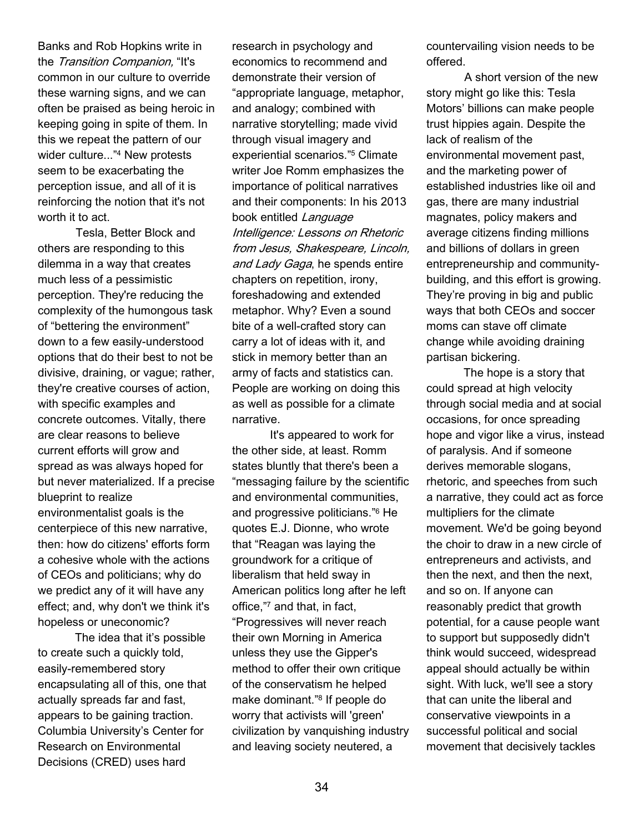Banks and Rob Hopkins write in the Transition Companion, "It's common in our culture to override these warning signs, and we can often be praised as being heroic in keeping going in spite of them. In this we repeat the pattern of our wider culture..."<sup>4</sup> New protests seem to be exacerbating the perception issue, and all of it is reinforcing the notion that it's not worth it to act.

Tesla, Better Block and others are responding to this dilemma in a way that creates much less of a pessimistic perception. They're reducing the complexity of the humongous task of "bettering the environment" down to a few easily-understood options that do their best to not be divisive, draining, or vague; rather, they're creative courses of action, with specific examples and concrete outcomes. Vitally, there are clear reasons to believe current efforts will grow and spread as was always hoped for but never materialized. If a precise blueprint to realize environmentalist goals is the centerpiece of this new narrative, then: how do citizens' efforts form a cohesive whole with the actions of CEOs and politicians; why do we predict any of it will have any effect; and, why don't we think it's hopeless or uneconomic?

The idea that it's possible to create such a quickly told, easily-remembered story encapsulating all of this, one that actually spreads far and fast, appears to be gaining traction. Columbia University's Center for Research on Environmental Decisions (CRED) uses hard

research in psychology and economics to recommend and demonstrate their version of "appropriate language, metaphor, and analogy; combined with narrative storytelling; made vivid through visual imagery and experiential scenarios."<sup>5</sup> Climate writer Joe Romm emphasizes the importance of political narratives and their components: In his 2013 book entitled Language Intelligence: Lessons on Rhetoric from Jesus, Shakespeare, Lincoln, and Lady Gaga, he spends entire chapters on repetition, irony, foreshadowing and extended metaphor. Why? Even a sound bite of a well-crafted story can carry a lot of ideas with it, and stick in memory better than an army of facts and statistics can. People are working on doing this as well as possible for a climate narrative.

 It's appeared to work for the other side, at least. Romm states bluntly that there's been a "messaging failure by the scientific and environmental communities, and progressive politicians."<sup>6</sup> He quotes E.J. Dionne, who wrote that "Reagan was laying the groundwork for a critique of liberalism that held sway in American politics long after he left office,"<sup>7</sup> and that, in fact, "Progressives will never reach their own Morning in America unless they use the Gipper's method to offer their own critique of the conservatism he helped make dominant."<sup>8</sup> If people do worry that activists will 'green' civilization by vanquishing industry and leaving society neutered, a

countervailing vision needs to be offered.

A short version of the new story might go like this: Tesla Motors' billions can make people trust hippies again. Despite the lack of realism of the environmental movement past, and the marketing power of established industries like oil and gas, there are many industrial magnates, policy makers and average citizens finding millions and billions of dollars in green entrepreneurship and communitybuilding, and this effort is growing. They're proving in big and public ways that both CEOs and soccer moms can stave off climate change while avoiding draining partisan bickering.

The hope is a story that could spread at high velocity through social media and at social occasions, for once spreading hope and vigor like a virus, instead of paralysis. And if someone derives memorable slogans, rhetoric, and speeches from such a narrative, they could act as force multipliers for the climate movement. We'd be going beyond the choir to draw in a new circle of entrepreneurs and activists, and then the next, and then the next, and so on. If anyone can reasonably predict that growth potential, for a cause people want to support but supposedly didn't think would succeed, widespread appeal should actually be within sight. With luck, we'll see a story that can unite the liberal and conservative viewpoints in a successful political and social movement that decisively tackles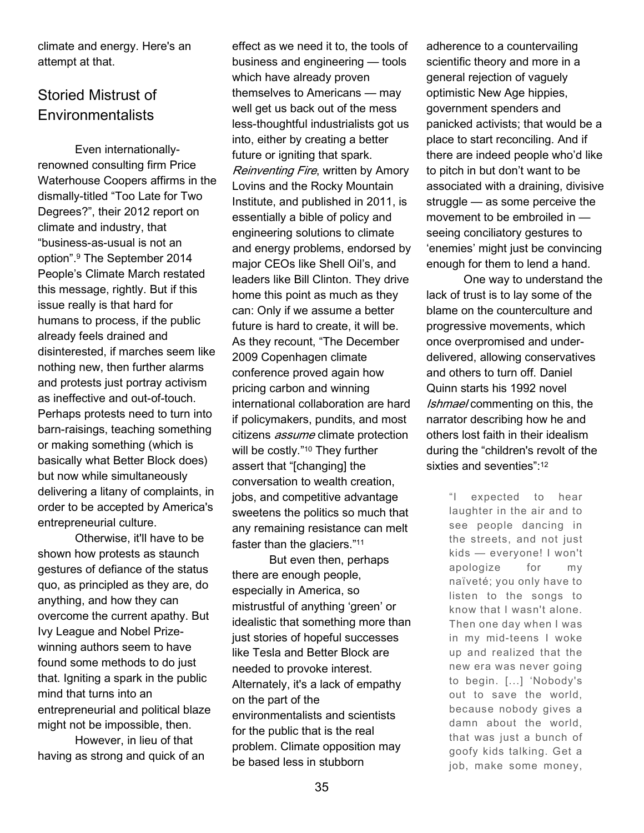climate and energy. Here's an attempt at that.

## Storied Mistrust of **Environmentalists**

Even internationallyrenowned consulting firm Price Waterhouse Coopers affirms in the dismally-titled "Too Late for Two Degrees?", their 2012 report on climate and industry, that "business-as-usual is not an option".<sup>9</sup> The September 2014 People's Climate March restated this message, rightly. But if this issue really is that hard for humans to process, if the public already feels drained and disinterested, if marches seem like nothing new, then further alarms and protests just portray activism as ineffective and out-of-touch. Perhaps protests need to turn into barn-raisings, teaching something or making something (which is basically what Better Block does) but now while simultaneously delivering a litany of complaints, in order to be accepted by America's entrepreneurial culture.

Otherwise, it'll have to be shown how protests as staunch gestures of defiance of the status quo, as principled as they are, do anything, and how they can overcome the current apathy. But Ivy League and Nobel Prizewinning authors seem to have found some methods to do just that. Igniting a spark in the public mind that turns into an entrepreneurial and political blaze might not be impossible, then.

However, in lieu of that having as strong and quick of an effect as we need it to, the tools of business and engineering — tools which have already proven themselves to Americans — may well get us back out of the mess less-thoughtful industrialists got us into, either by creating a better future or igniting that spark. Reinventing Fire, written by Amory Lovins and the Rocky Mountain Institute, and published in 2011, is essentially a bible of policy and engineering solutions to climate and energy problems, endorsed by major CEOs like Shell Oil's, and leaders like Bill Clinton. They drive home this point as much as they can: Only if we assume a better future is hard to create, it will be. As they recount, "The December 2009 Copenhagen climate conference proved again how pricing carbon and winning international collaboration are hard if policymakers, pundits, and most citizens *assume* climate protection will be costly."<sup>10</sup> They further assert that "[changing] the conversation to wealth creation, jobs, and competitive advantage sweetens the politics so much that any remaining resistance can melt faster than the glaciers."<sup>11</sup>

But even then, perhaps there are enough people, especially in America, so mistrustful of anything 'green' or idealistic that something more than just stories of hopeful successes like Tesla and Better Block are needed to provoke interest. Alternately, it's a lack of empathy on the part of the environmentalists and scientists for the public that is the real problem. Climate opposition may be based less in stubborn

adherence to a countervailing scientific theory and more in a general rejection of vaguely optimistic New Age hippies, government spenders and panicked activists; that would be a place to start reconciling. And if there are indeed people who'd like to pitch in but don't want to be associated with a draining, divisive struggle — as some perceive the movement to be embroiled in seeing conciliatory gestures to 'enemies' might just be convincing enough for them to lend a hand.

One way to understand the lack of trust is to lay some of the blame on the counterculture and progressive movements, which once overpromised and underdelivered, allowing conservatives and others to turn off. Daniel Quinn starts his 1992 novel Ishmael commenting on this, the narrator describing how he and others lost faith in their idealism during the "children's revolt of the sixties and seventies":<sup>12</sup>

> "I expected to hear laughter in the air and to see people dancing in the streets, and not just kids — everyone! I won't apologize for my naïveté; you only have to listen to the songs to know that I wasn't alone. Then one day when I was in my mid-teens I woke up and realized that the new era was never going to begin. [...] 'Nobody's out to save the world, because nobody gives a damn about the world, that was just a bunch of goofy kids talking. Get a job, make some money,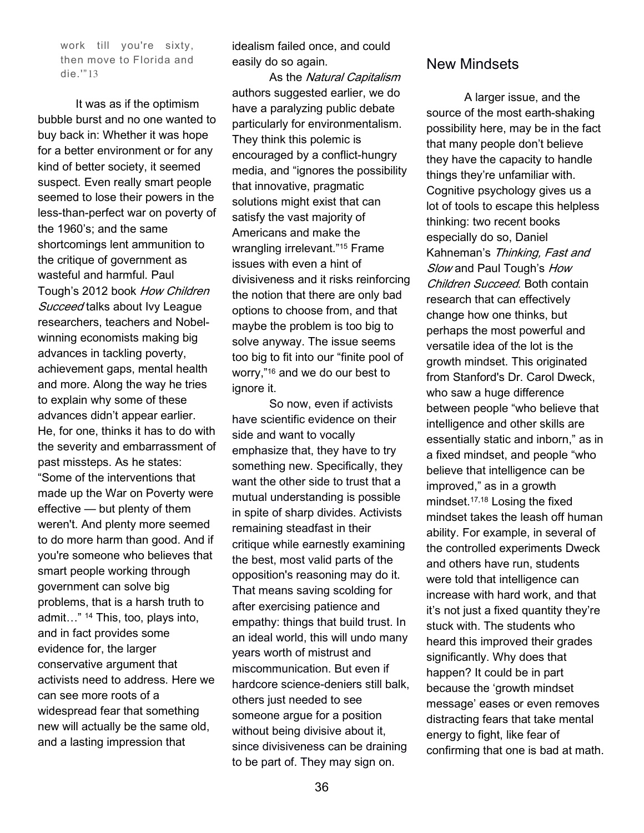work till you're sixty, then move to Florida and die.'"13

 It was as if the optimism bubble burst and no one wanted to buy back in: Whether it was hope for a better environment or for any kind of better society, it seemed suspect. Even really smart people seemed to lose their powers in the less-than-perfect war on poverty of the 1960's; and the same shortcomings lent ammunition to the critique of government as wasteful and harmful. Paul Tough's 2012 book How Children Succeed talks about Ivy League researchers, teachers and Nobelwinning economists making big advances in tackling poverty, achievement gaps, mental health and more. Along the way he tries to explain why some of these advances didn't appear earlier. He, for one, thinks it has to do with the severity and embarrassment of past missteps. As he states: "Some of the interventions that made up the War on Poverty were effective — but plenty of them weren't. And plenty more seemed to do more harm than good. And if you're someone who believes that smart people working through government can solve big problems, that is a harsh truth to admit…" 14 This, too, plays into, and in fact provides some evidence for, the larger conservative argument that activists need to address. Here we can see more roots of a widespread fear that something new will actually be the same old, and a lasting impression that

idealism failed once, and could easily do so again.

As the Natural Capitalism authors suggested earlier, we do have a paralyzing public debate particularly for environmentalism. They think this polemic is encouraged by a conflict-hungry media, and "ignores the possibility that innovative, pragmatic solutions might exist that can satisfy the vast majority of Americans and make the wrangling irrelevant."15 Frame issues with even a hint of divisiveness and it risks reinforcing the notion that there are only bad options to choose from, and that maybe the problem is too big to solve anyway. The issue seems too big to fit into our "finite pool of worry,"16 and we do our best to ignore it.

So now, even if activists have scientific evidence on their side and want to vocally emphasize that, they have to try something new. Specifically, they want the other side to trust that a mutual understanding is possible in spite of sharp divides. Activists remaining steadfast in their critique while earnestly examining the best, most valid parts of the opposition's reasoning may do it. That means saving scolding for after exercising patience and empathy: things that build trust. In an ideal world, this will undo many years worth of mistrust and miscommunication. But even if hardcore science-deniers still balk, others just needed to see someone argue for a position without being divisive about it, since divisiveness can be draining to be part of. They may sign on.

#### New Mindsets

A larger issue, and the source of the most earth-shaking possibility here, may be in the fact that many people don't believe they have the capacity to handle things they're unfamiliar with. Cognitive psychology gives us a lot of tools to escape this helpless thinking: two recent books especially do so, Daniel Kahneman's Thinking, Fast and Slow and Paul Tough's How Children Succeed. Both contain research that can effectively change how one thinks, but perhaps the most powerful and versatile idea of the lot is the growth mindset. This originated from Stanford's Dr. Carol Dweck, who saw a huge difference between people "who believe that intelligence and other skills are essentially static and inborn," as in a fixed mindset, and people "who believe that intelligence can be improved," as in a growth mindset.17,18 Losing the fixed mindset takes the leash off human ability. For example, in several of the controlled experiments Dweck and others have run, students were told that intelligence can increase with hard work, and that it's not just a fixed quantity they're stuck with. The students who heard this improved their grades significantly. Why does that happen? It could be in part because the 'growth mindset message' eases or even removes distracting fears that take mental energy to fight, like fear of confirming that one is bad at math.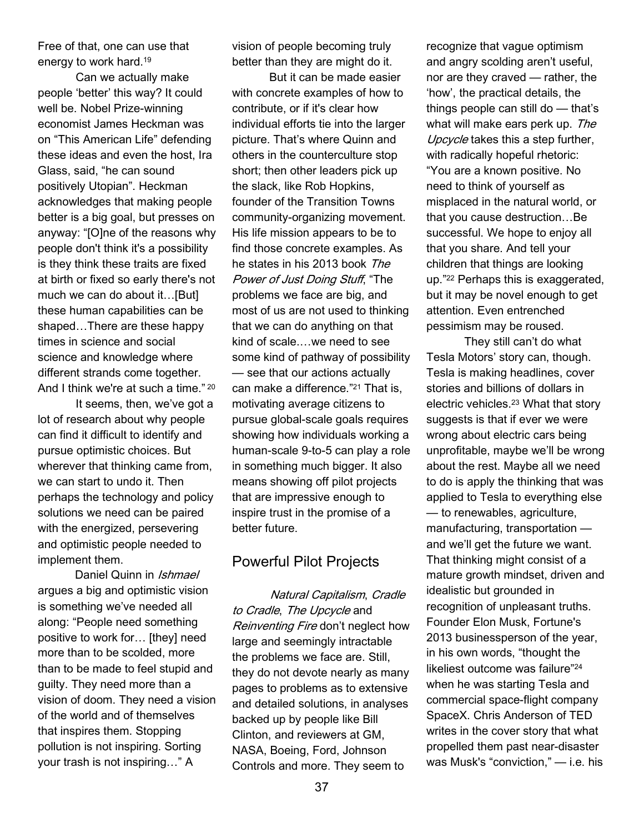Free of that, one can use that energy to work hard.<sup>19</sup>

Can we actually make people 'better' this way? It could well be. Nobel Prize-winning economist James Heckman was on "This American Life" defending these ideas and even the host, Ira Glass, said, "he can sound positively Utopian". Heckman acknowledges that making people better is a big goal, but presses on anyway: "[O]ne of the reasons why people don't think it's a possibility is they think these traits are fixed at birth or fixed so early there's not much we can do about it…[But] these human capabilities can be shaped…There are these happy times in science and social science and knowledge where different strands come together. And I think we're at such a time." <sup>20</sup>

It seems, then, we've got a lot of research about why people can find it difficult to identify and pursue optimistic choices. But wherever that thinking came from, we can start to undo it. Then perhaps the technology and policy solutions we need can be paired with the energized, persevering and optimistic people needed to implement them.

Daniel Quinn in *Ishmael* argues a big and optimistic vision is something we've needed all along: "People need something positive to work for… [they] need more than to be scolded, more than to be made to feel stupid and guilty. They need more than a vision of doom. They need a vision of the world and of themselves that inspires them. Stopping pollution is not inspiring. Sorting your trash is not inspiring…" A

vision of people becoming truly better than they are might do it.

But it can be made easier with concrete examples of how to contribute, or if it's clear how individual efforts tie into the larger picture. That's where Quinn and others in the counterculture stop short; then other leaders pick up the slack, like Rob Hopkins, founder of the Transition Towns community-organizing movement. His life mission appears to be to find those concrete examples. As he states in his 2013 book The Power of Just Doing Stuff, "The problems we face are big, and most of us are not used to thinking that we can do anything on that kind of scale.…we need to see some kind of pathway of possibility — see that our actions actually can make a difference."21 That is, motivating average citizens to pursue global-scale goals requires showing how individuals working a human-scale 9-to-5 can play a role in something much bigger. It also means showing off pilot projects that are impressive enough to inspire trust in the promise of a better future.

### Powerful Pilot Projects

Natural Capitalism, Cradle to Cradle, The Upcycle and Reinventing Fire don't neglect how large and seemingly intractable the problems we face are. Still, they do not devote nearly as many pages to problems as to extensive and detailed solutions, in analyses backed up by people like Bill Clinton, and reviewers at GM, NASA, Boeing, Ford, Johnson Controls and more. They seem to

recognize that vague optimism and angry scolding aren't useful, nor are they craved — rather, the 'how', the practical details, the things people can still do — that's what will make ears perk up. The Upcycle takes this a step further, with radically hopeful rhetoric: "You are a known positive. No need to think of yourself as misplaced in the natural world, or that you cause destruction…Be successful. We hope to enjoy all that you share. And tell your children that things are looking up."22 Perhaps this is exaggerated, but it may be novel enough to get attention. Even entrenched pessimism may be roused.

 They still can't do what Tesla Motors' story can, though. Tesla is making headlines, cover stories and billions of dollars in electric vehicles.23 What that story suggests is that if ever we were wrong about electric cars being unprofitable, maybe we'll be wrong about the rest. Maybe all we need to do is apply the thinking that was applied to Tesla to everything else — to renewables, agriculture, manufacturing, transportation and we'll get the future we want. That thinking might consist of a mature growth mindset, driven and idealistic but grounded in recognition of unpleasant truths. Founder Elon Musk, Fortune's 2013 businessperson of the year, in his own words, "thought the likeliest outcome was failure"<sup>24</sup> when he was starting Tesla and commercial space-flight company SpaceX. Chris Anderson of TED writes in the cover story that what propelled them past near-disaster was Musk's "conviction," — i.e. his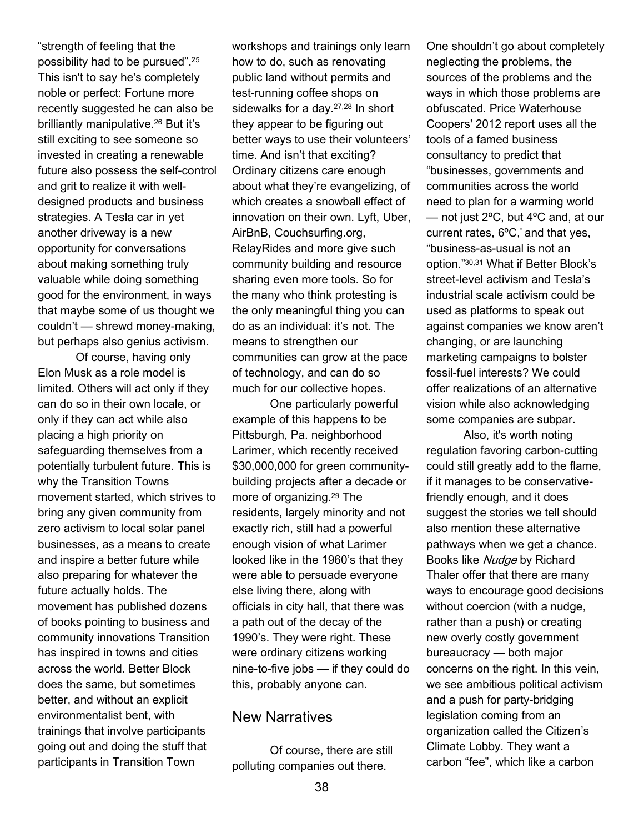"strength of feeling that the possibility had to be pursued".<sup>25</sup> This isn't to say he's completely noble or perfect: Fortune more recently suggested he can also be brilliantly manipulative.26 But it's still exciting to see someone so invested in creating a renewable future also possess the self-control and grit to realize it with welldesigned products and business strategies. A Tesla car in yet another driveway is a new opportunity for conversations about making something truly valuable while doing something good for the environment, in ways that maybe some of us thought we couldn't — shrewd money-making, but perhaps also genius activism.

 Of course, having only Elon Musk as a role model is limited. Others will act only if they can do so in their own locale, or only if they can act while also placing a high priority on safeguarding themselves from a potentially turbulent future. This is why the Transition Towns movement started, which strives to bring any given community from zero activism to local solar panel businesses, as a means to create and inspire a better future while also preparing for whatever the future actually holds. The movement has published dozens of books pointing to business and community innovations Transition has inspired in towns and cities across the world. Better Block does the same, but sometimes better, and without an explicit environmentalist bent, with trainings that involve participants going out and doing the stuff that participants in Transition Town

workshops and trainings only learn how to do, such as renovating public land without permits and test-running coffee shops on sidewalks for a day.27,28 In short they appear to be figuring out better ways to use their volunteers' time. And isn't that exciting? Ordinary citizens care enough about what they're evangelizing, of which creates a snowball effect of innovation on their own. Lyft, Uber, AirBnB, Couchsurfing.org, RelayRides and more give such community building and resource sharing even more tools. So for the many who think protesting is the only meaningful thing you can do as an individual: it's not. The means to strengthen our communities can grow at the pace of technology, and can do so much for our collective hopes.

 One particularly powerful example of this happens to be Pittsburgh, Pa. neighborhood Larimer, which recently received \$30,000,000 for green communitybuilding projects after a decade or more of organizing.29 The residents, largely minority and not exactly rich, still had a powerful enough vision of what Larimer looked like in the 1960's that they were able to persuade everyone else living there, along with officials in city hall, that there was a path out of the decay of the 1990's. They were right. These were ordinary citizens working nine-to-five jobs — if they could do this, probably anyone can.

#### New Narratives

Of course, there are still polluting companies out there.

One shouldn't go about completely neglecting the problems, the sources of the problems and the ways in which those problems are obfuscated. Price Waterhouse Coopers' 2012 report uses all the tools of a famed business consultancy to predict that "businesses, governments and communities across the world need to plan for a warming world — not just 2ºC, but 4ºC and, at our current rates, 6ºC," and that yes, "business-as-usual is not an option."30,31 What if Better Block's street-level activism and Tesla's industrial scale activism could be used as platforms to speak out against companies we know aren't changing, or are launching marketing campaigns to bolster fossil-fuel interests? We could offer realizations of an alternative vision while also acknowledging some companies are subpar.

Also, it's worth noting regulation favoring carbon-cutting could still greatly add to the flame, if it manages to be conservativefriendly enough, and it does suggest the stories we tell should also mention these alternative pathways when we get a chance. Books like Nudge by Richard Thaler offer that there are many ways to encourage good decisions without coercion (with a nudge, rather than a push) or creating new overly costly government bureaucracy — both major concerns on the right. In this vein, we see ambitious political activism and a push for party-bridging legislation coming from an organization called the Citizen's Climate Lobby. They want a carbon "fee", which like a carbon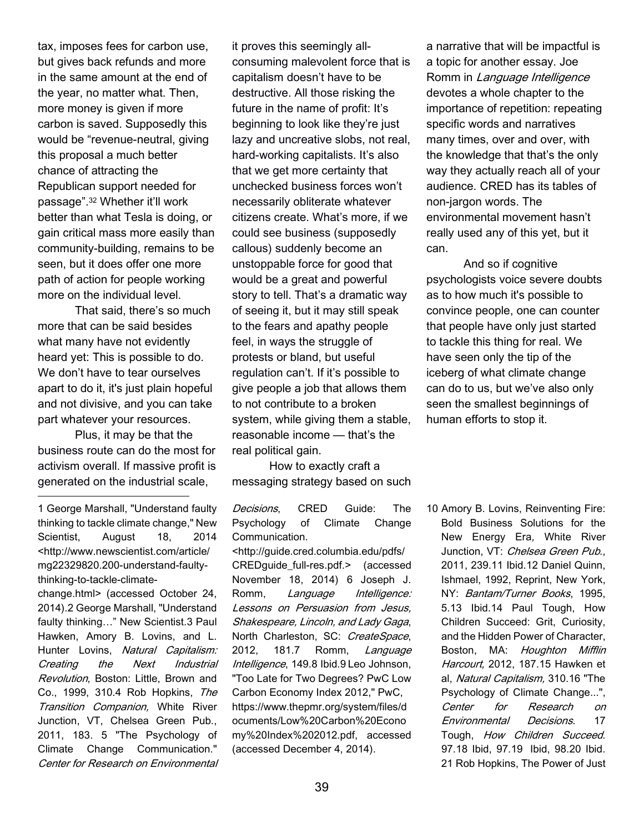tax, imposes fees for carbon use, but gives back refunds and more in the same amount at the end of the year, no matter what. Then, more money is given if more carbon is saved. Supposedly this would be "revenue-neutral, giving this proposal a much better chance of attracting the Republican support needed for passage".32 Whether it'll work better than what Tesla is doing, or gain critical mass more easily than community-building, remains to be seen, but it does offer one more path of action for people working more on the individual level.

That said, there's so much more that can be said besides what many have not evidently heard yet: This is possible to do. We don't have to tear ourselves apart to do it, it's just plain hopeful and not divisive, and you can take part whatever your resources.

Plus, it may be that the business route can do the most for activism overall. If massive profit is generated on the industrial scale, ֦

1 George Marshall, "Understand faulty thinking to tackle climate change," New Scientist, August 18, 2014 <http://www.newscientist.com/article/ mg22329820.200-understand-faultythinking-to-tackle-climate-

change.html> (accessed October 24, 2014).2 George Marshall, "Understand faulty thinking…" New Scientist.3 Paul Hawken, Amory B. Lovins, and L. Hunter Lovins, Natural Capitalism: Creating the Next Industrial Revolution, Boston: Little, Brown and Co., 1999, 310.4 Rob Hopkins, The Transition Companion, White River Junction, VT, Chelsea Green Pub., 2011, 183. 5 "The Psychology of Climate Change Communication." Center for Research on Environmental

it proves this seemingly allconsuming malevolent force that is capitalism doesn't have to be destructive. All those risking the future in the name of profit: It's beginning to look like they're just lazy and uncreative slobs, not real, hard-working capitalists. It's also that we get more certainty that unchecked business forces won't necessarily obliterate whatever citizens create. What's more, if we could see business (supposedly callous) suddenly become an unstoppable force for good that would be a great and powerful story to tell. That's a dramatic way of seeing it, but it may still speak to the fears and apathy people feel, in ways the struggle of protests or bland, but useful regulation can't. If it's possible to give people a job that allows them to not contribute to a broken system, while giving them a stable, reasonable income — that's the real political gain.

How to exactly craft a messaging strategy based on such

Decisions, CRED Guide: The Psychology of Climate Change Communication. <http://guide.cred.columbia.edu/pdfs/ CREDguide\_full-res.pdf.> (accessed November 18, 2014) 6 Joseph J. Romm, Language Intelligence: Lessons on Persuasion from Jesus, Shakespeare, Lincoln, and Lady Gaga, North Charleston, SC: CreateSpace, 2012, 181.7 Romm, Language Intelligence, 149.8 Ibid.9 Leo Johnson, "Too Late for Two Degrees? PwC Low Carbon Economy Index 2012," PwC, https://www.thepmr.org/system/files/d ocuments/Low%20Carbon%20Econo my%20Index%202012.pdf, accessed (accessed December 4, 2014).

a narrative that will be impactful is a topic for another essay. Joe Romm in Language Intelligence devotes a whole chapter to the importance of repetition: repeating specific words and narratives many times, over and over, with the knowledge that that's the only way they actually reach all of your audience. CRED has its tables of non-jargon words. The environmental movement hasn't really used any of this yet, but it can.

And so if cognitive psychologists voice severe doubts as to how much it's possible to convince people, one can counter that people have only just started to tackle this thing for real. We have seen only the tip of the iceberg of what climate change can do to us, but we've also only seen the smallest beginnings of human efforts to stop it.

10 Amory B. Lovins, Reinventing Fire: Bold Business Solutions for the New Energy Era, White River Junction, VT: Chelsea Green Pub., 2011, 239.11 Ibid.12 Daniel Quinn, Ishmael, 1992, Reprint, New York, NY: Bantam/Turner Books, 1995, 5.13 Ibid.14 Paul Tough, How Children Succeed: Grit, Curiosity, and the Hidden Power of Character, Boston, MA: Houghton Mifflin Harcourt, 2012, 187.15 Hawken et al, Natural Capitalism, 310.16 "The Psychology of Climate Change...", Center for Research on Environmental Decisions. 17 Tough, How Children Succeed. 97.18 Ibid, 97.19 Ibid, 98.20 Ibid. 21 Rob Hopkins, The Power of Just